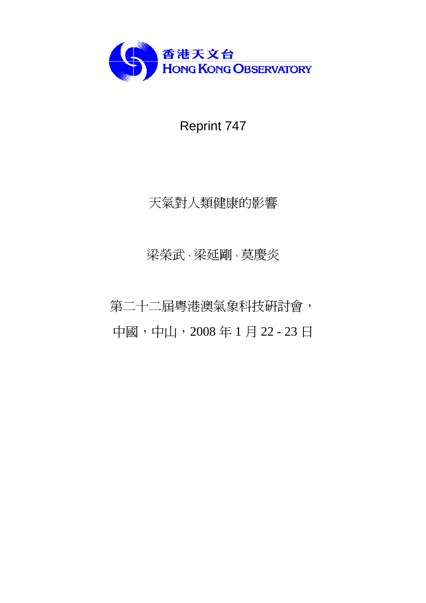

Reprint 747

天氣對人類健康的影響

梁榮武、梁延剛、莫慶炎

第二十二屆粵港澳氣象科技研討會, 中國,中山,2008 年 1 月 22 - 23 日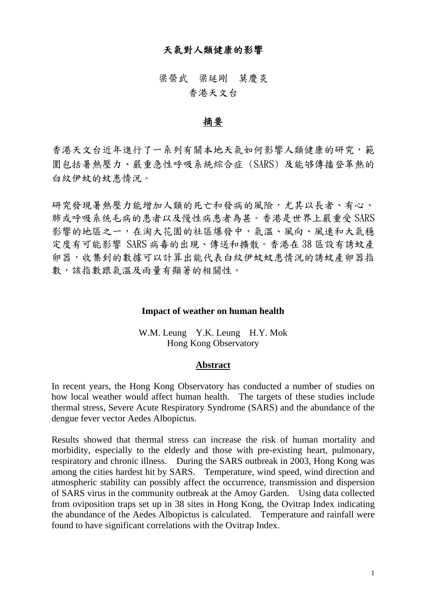## 天氣對人類健康的影響

梁榮武 梁延剛 莫慶炎 香港天文台

#### 摘要

香港天文台近年進行了一系列有關本地天氣如何影響人類健康的研究,範 圍包括暑熱壓力、嚴重急性呼吸系統綜合症 (SARS) 及能够傳播登革熱的 白紋伊蚊的蚊患情況。

研究發現暑熱壓力能增加人類的死亡和發病的風險,尤其以長者、有心、 肺或呼吸系统毛病的患者以及慢性病患者為甚。香港是世界上嚴重受 SARS 影響的地區之一,在淘大花園的社區爆發中,氣溫、風向、風速和大氣穩 定度有可能影響 SARS 病毒的出現、傳送和擴散。香港在 38 區設有誘蚊產 卵器,收集到的數據可以計算出能代表白紋伊蚊蚊患情況的誘蚊產卵器指 數,該指數跟氣溫及雨量有顯著的相關性。

#### **Impact of weather on human health**

W.M. Leung Y.K. Leung H.Y. Mok Hong Kong Observatory

#### **Abstract**

In recent years, the Hong Kong Observatory has conducted a number of studies on how local weather would affect human health. The targets of these studies include thermal stress, Severe Acute Respiratory Syndrome (SARS) and the abundance of the dengue fever vector Aedes Albopictus.

Results showed that thermal stress can increase the risk of human mortality and morbidity, especially to the elderly and those with pre-existing heart, pulmonary, respiratory and chronic illness. During the SARS outbreak in 2003, Hong Kong was among the cities hardest hit by SARS. Temperature, wind speed, wind direction and atmospheric stability can possibly affect the occurrence, transmission and dispersion of SARS virus in the community outbreak at the Amoy Garden. Using data collected from oviposition traps set up in 38 sites in Hong Kong, the Ovitrap Index indicating the abundance of the Aedes Albopictus is calculated. Temperature and rainfall were found to have significant correlations with the Ovitrap Index.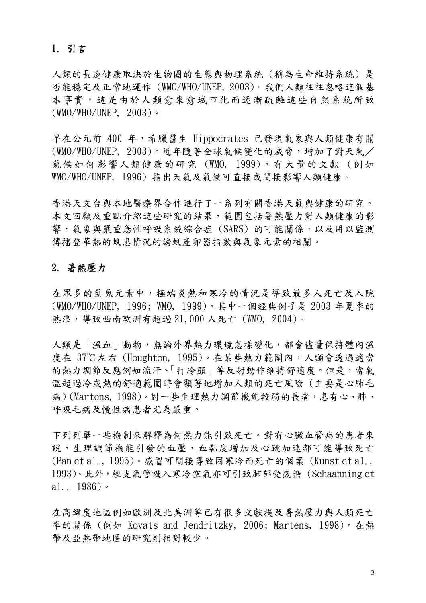### 1. 引言

人類的長遠健康取決於生物圈的生態與物理系統 (稱為生命維持系統) 是 否能穩定及正常地運作 (WMO/WHO/UNEP, 2003)。我們人類往往忽略這個基 本事實,這是由於人類愈來愈城市化而逐漸疏離這些自然系統所致 (WMO/WHO/UNEP, 2003)。

早在公元前 400 年,希臘醫生 Hippocrates 已發現氣象與人類健康有關 (WMO/WHO/UNEP, 2003)。近年隨著全球氣候變化的威脅,增加了對天氣/ 氣候如何影響人類健康的研究 (WMO, 1999)。有大量的文獻 (例如 WMO/WHO/UNEP, 1996) 指出天氣及氣候可直接或間接影響人類健康。

香港天文台與本地醫療界合作進行了一系列有關香港天氣與健康的研究。 本文回顧及重點介紹這些研究的結果,範圍包括暑熱壓力對人類健康的影 響,氣象與嚴重急性呼吸系統綜合症 (SARS) 的可能關係,以及用以監測 傳播登革熱的蚊患情況的誘蚊產卵器指數與氣象元素的相關。

#### 2. 暑熱壓力

在眾多的氣象元素中,極端炎熱和寒冷的情況是導致最多人死亡及入院 (WMO/WHO/UNEP, 1996; WMO, 1999)。其中一個經典例子是 2003 年夏季的 熱浪,導致西南歐洲有超過 21,000 人死亡 (WMO, 2004)。

人類是「溫血」動物,無論外界熱力環境怎樣變化,都會儘量保持體內溫 度在 37℃左右 (Houghton, 1995)。在某些熱力範圍內,人類會透過適當 的熱力調節反應例如流汗、「打冷顫」等反射動作維持舒適度。但是,當氣 溫超過冷或熱的舒適範圍時會顯著地增加人類的死亡風險 (主要是心肺毛 病) (Martens, 1998)。對一些生理熱力調節機能較弱的長者,患有心、肺、 呼吸毛病及慢性病患者尤為嚴重。

下列列舉一些機制來解釋為何熱力能引致死亡。對有心臟血管病的患者來 說,生理調節機能引發的血壓、血黏度增加及心跳加速都可能導致死亡 (Pan et al., 1995)。感冒可間接導致因寒冷而死亡的個案 (Kunst et al., 1993)。此外,經支氣管吸入寒冷空氣亦可引致肺部受感染 (Schaanning et al., 1986)。

在高緯度地區例如歐洲及北美洲等已有很多文獻提及暑熱壓力與人類死亡 率的關係 (例如 Kovats and Jendritzky, 2006; Martens, 1998)。在熱 帶及亞熱帶地區的研究則相對較少。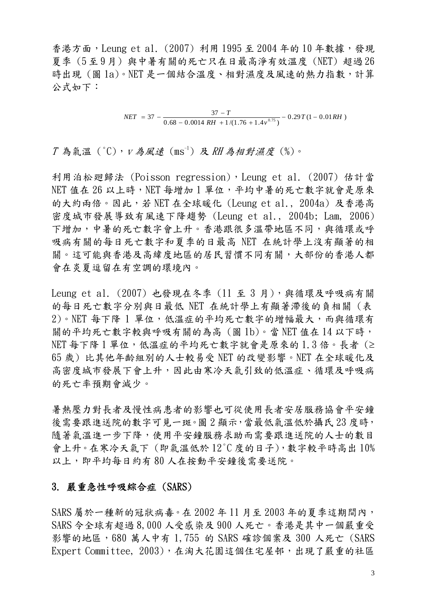香港方面, Leung et al. (2007) 利用 1995 至 2004 年的 10 年數據,發現 夏季 (5 至 9 月) 與中暑有關的死亡只在日最高淨有效溫度 (NET) 超過 26 時出現 (圖 1a)。NET 是一個結合溫度、相對濕度及風速的熱力指數,計算 公式如下:

$$
NET = 37 - \frac{37 - T}{0.68 - 0.0014 \, RH + 1/(1.76 + 1.4v^{0.75})} - 0.29T(1 - 0.01RH)
$$

 $T$ 為氣溫 (°C),  $V$ 為風速 (ms<sup>-1</sup>) 及 RH 為相對濕度 (%)。

利用泊松廻歸法 (Poisson regression),Leung et al. (2007) 估計當 NET 值在 26 以上時,NET 每增加 1 單位,平均中暑的死亡數字就會是原來 的大約兩倍。因此,若 NET 在全球暖化 (Leung et al., 2004a) 及香港高 密度城市發展導致有風速下降趨勢 (Leung et al., 2004b; Lam, 2006) 下增加,中暑的死亡數字會上升。香港跟很多溫帶地區不同,與循環或呼 吸病有關的每日死亡數字和夏季的日最高 NET 在統計學上沒有顯著的相 關。這可能與香港及高緯度地區的居民習慣不同有關,大部份的香港人都 會在炎夏逗留在有空調的環境內。

Leung et al. (2007) 也發現在冬季 (11 至 3 月), 與循環及呼吸病有關 的每日死亡數字分別與日最低 NET 在統計學上有顯著滯後的負相關 (表 2)。NET 每下降 1 單位,低溫症的平均死亡數字的增幅最大,而與循環有 關的平均死亡數字較與呼吸有關的為高 (圖 1b)。當 NET 值在 14 以下時, NET 每下降 1 單位, 低溫症的平均死亡數字就會是原來的 1.3 倍。長者 (≥ 65 歲) 比其他年齡組別的人士較易受 NET 的改變影響。NET 在全球暖化及 高密度城市發展下會上升,因此由寒冷天氣引致的低溫症、循環及呼吸病 的死亡率預期會減少。

暑熱壓力對長者及慢性病患者的影響也可從使用長者安居服務協會平安鐘 後需要跟進送院的數字可見一斑。圖 2 顯示,當最低氣溫低於攝氏 23 度時, 隨著氣溫進一步下降,使用平安鐘服務求助而需要跟進送院的人士的數目 會上升。在寒冷天氣下 (即氣溫低於 12°C 度的日子),數字較平時高出 10% 以上,即平均每日約有 80 人在按動平安鐘後需要送院。

#### 3. 嚴重急性呼吸綜合症 (SARS)

SARS 屬於一種新的冠狀病毒。在 2002年11月至 2003年年的夏季這期間內, SARS 令全球有超過 8,000 人受感染及 900 人死亡。香港是其中一個嚴重受 影響的地區,680 萬人中有 1,755 的 SARS 確診個案及 300 人死亡 (SARS  $\,$  Expert Committee,  $\,2003)$ , 在淘大花園這個住宅屋邨, 出現了嚴重的社區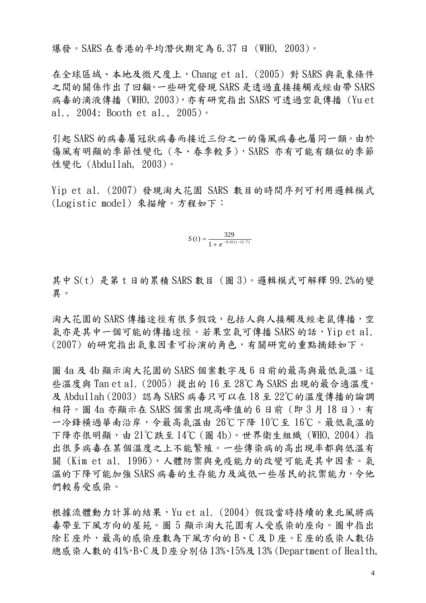爆發。SARS 在香港的平均潛伏期定為 6.37 日 (WHO, 2003)。

在全球區域、本地及微尺度上,Chang et al. (2005) 對 SARS 與氣象條件 之間的關係作出了回顧。一些研究發現 SARS 是透過直接接觸或經由帶 SARS 病毒的滴液傳播 (WHO, 2003),亦有研究指出 SARS 可透過空氣傳播 (Yu et al., 2004; Booth et al., 2005)。

引起 SARS 的病毒屬冠狀病毒而接近三份之一的傷風病毒也屬同一類。由於 傷風有明顯的季節性變化 (冬、春季較多), SARS 亦有可能有類似的季節 性變化 (Abdullah, 2003)。

Yip et al. (2007) 發現淘大花園 SARS 數目的時間序列可利用邏輯模式 (Logistic model) 來描繪。方程如下:

$$
S(t) = \frac{329}{1 + e^{-0.61(t - 12.7)}}
$$

其中 S(t) 是第 t 日的累積 SARS 數目 (圖 3)。邏輯模式可解釋 99.2%的變 異。

淘大花園的 SARS 傳播途徑有很多假設,包括人與人接觸及經老鼠傳播,空 氣亦是其中一個可能的傳播途徑。若果空氣可傳播 SARS 的話, Yip et al. (2007) 的研究指出氣象因素可扮演的角色,有關研究的重點摘錄如下。

圖 4a 及 4b 顯示淘大花園的 SARS 個案數字及 6 日前的最高與最低氣溫。這 些溫度與 Tan et al. (2005) 提出的 16 至 28℃為 SARS 出現的最合適溫度, 及 Abdullah (2003) 認為 SARS 病毒只可以在 18 至 22℃的溫度傳播的論調 相符。圖 4a 亦顯示在 SARS 個案出現高峰值的 6 日前 (即 3 月 18 日), 有 一冷鋒橫過華南沿岸,令最高氣溫由 26℃下降 10℃至 16℃。最低氣溫的 下降亦很明顯,由 21℃跌至 14℃ (圖 4b)。世界衛生組織 (WHO, 2004) 指 出很多病毒在某個溫度之上不能繁殖。一些傳染病的高出現率都與低溫有 關 (Kim et al. 1996),人體防禦與免疫能力的改變可能是其中因素。氣 溫的下降可能加強 SARS 病毒的生存能力及減低一些居民的抗禦能力,令他 們較易受感染。

根據流體動力計算的結果,Yu et al. (2004) 假設當時持續的東北風將病 毒帶至下風方向的屋苑。圖 5 顯示淘大花園有人受感染的座向。圖中指出 除 E 座外,最高的感染座數為下風方向的 B、C 及 D 座。E 座的感染人數佔 總感染人數的 41%,B、C及 D座分別佔 13%、15%及 13% (Department of Health,

4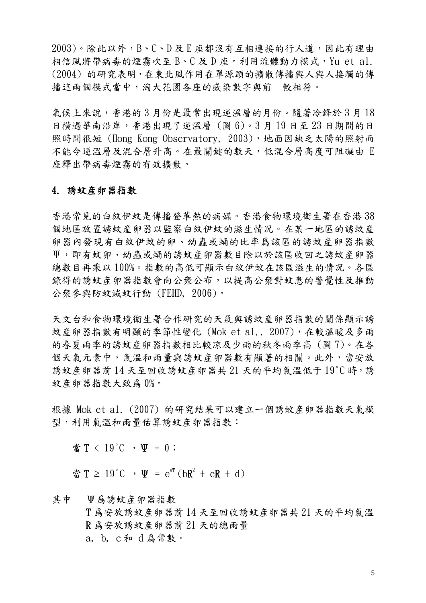2003)。除此以外,B、C、D及E座都沒有互相連接的行人道,因此有理由 相信風將帶病毒的煙霧吹至 B、C 及 D 座。利用流體動力模式,Yu et al. (2004) 的研究表明,在東北風作用在單源頭的擴散傳播與人與人接觸的傳 播這兩個模式當中,淘大花園各座的感染數字與前 較相符。

氣候上來說,香港的3月份是最常出現逆溫層的月份。隨著冷鋒於3月18 日橫過華南沿岸,香港出現了逆溫層 (圖 6)。3 月 19 日至 23 日期間的日 照時間很短 (Hong Kong Observatory, 2003),地面因缺乏太陽的照射而 不能令逆溫層及混合層升高。在最關鍵的數天,低混合層高度可阻礙由 E 座釋出帶病毒煙霧的有效擴散。

#### 4. 誘蚊産卵器指數

香港常見的白紋伊蚊是傳播登革熱的病媒。香港食物環境衛生署在香港 38 個地區放置誘蚊産卵器以監察白紋伊蚊的滋生情况。在某一地區的誘蚊産 卵器內發現有白紋伊蚊的卵、幼蟲或蛹的比率爲該區的誘蚊産卵器指數 Ψ,即有蚊卵、幼蟲或蛹的誘蚊産卵器數目除以於該區收回之誘蚊産卵器 總數目再乘以 100%。指數的高低可顯示白紋伊蚊在該區滋生的情况。各區 錄得的誘蚊產卵器指數會向公衆公布,以提高公衆對蚊患的警覺性及推動 公衆參與防蚊滅蚊行動 (FEHD, 2006)。

天文台和食物環境衛生署合作研究的天氣與誘蚊産卵器指數的關係顯示誘 蚊産卵器指數有明顯的季節性變化 (Mok et al., 2007), 在較溫暖及多雨 的春夏兩季的誘蚊産卵器指數相比較凉及少雨的秋冬兩季高 (圖 7)。在各 個天氣元素中,氣溫和雨量與誘蚊産卵器數有顯著的相關。此外,當安放 誘蚊産卵器前 14 天至回收誘蚊産卵器共 21 天的平均氣溫低于 19°C 時,誘 蚊産卵器指數大致爲 0%。

根據 Mok et al. (2007) 的研究結果可以建立一個誘蚊産卵器指數天氣模 型,利用氣溫和雨量估算誘蚊產卵器指數:

當 T < 19°C ,  $\Psi = 0$ ;

當 T ≥ 19°C , Ψ =  $e^{aT}$  (bR<sup>2</sup> + cR + d)

其中 Ψ爲誘蚊産卵器指數 T 爲安放誘蚊産卵器前 14 天至回收誘蚊産卵器共 21 天的平均氣溫 R 爲安放誘蚊産卵器前 21 天的總雨量 a, b, c 和 d 爲常數。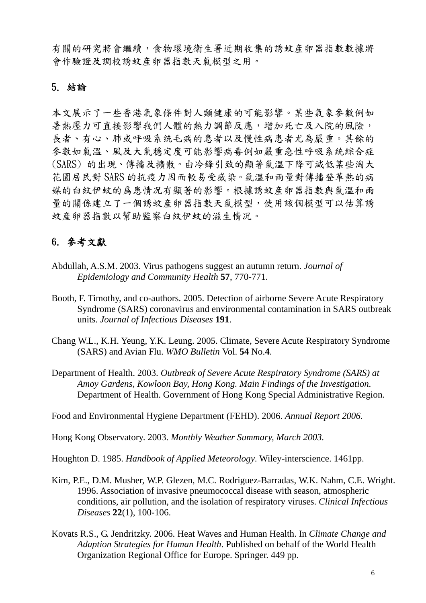有關的研究將會繼續,食物環境衛生署近期收集的誘蚊産卵器指數數據將 會作驗證及調校誘蚊産卵器指數天氣模型之用。

#### 5. 結論

本文展示了一些香港氣象條件對人類健康的可能影響。某些氣象參數例如 暑熱壓力可直接影響我們人體的熱力調節反應,增加死亡及入院的風險, 長者、有心、肺或呼吸系统毛病的患者以及慢性病患者尤為嚴重。其餘的 參數如氣溫、風及大氣穩定度可能影響病毒例如嚴重急性呼吸系統綜合症 (SARS) 的出現、傳播及擴散。由冷鋒引致的顯著氣溫下降可減低某些淘大 花園居民對 SARS 的抗疫力因而較易受感染。氣溫和雨量對傳播登革熱的病 媒的白紋伊蚊的爲患情况有顯著的影響。根據誘蚊産卵器指數與氣溫和雨 量的關係建立了一個誘蚊産卵器指數天氣模型,使用該個模型可以估算誘 蚊産卵器指數以幫助監察白紋伊蚊的滋生情况。

# 6. 參考文獻

- Abdullah, A.S.M. 2003. Virus pathogens suggest an autumn return. *Journal of Epidemiology and Community Health* **57**, 770-771.
- Booth, F. Timothy, and co-authors. 2005. Detection of airborne Severe Acute Respiratory Syndrome (SARS) coronavirus and environmental contamination in SARS outbreak units. *Journal of Infectious Diseases* **191**.
- Chang W.L., K.H. Yeung, Y.K. Leung. 2005. Climate, Severe Acute Respiratory Syndrome (SARS) and Avian Flu. *WMO Bulletin* Vol. **54** No.**4**.
- Department of Health. 2003. *Outbreak of Severe Acute Respiratory Syndrome (SARS) at Amoy Gardens, Kowloon Bay, Hong Kong. Main Findings of the Investigation.* Department of Health. Government of Hong Kong Special Administrative Region.

Food and Environmental Hygiene Department (FEHD). 2006. *Annual Report 2006.* 

Hong Kong Observatory. 2003. *Monthly Weather Summary, March 2003.*

Houghton D. 1985. *Handbook of Applied Meteorology*. Wiley-interscience. 1461pp.

- Kim, P.E., D.M. Musher, W.P. Glezen, M.C. Rodriguez-Barradas, W.K. Nahm, C.E. Wright. 1996. Association of invasive pneumococcal disease with season, atmospheric conditions, air pollution, and the isolation of respiratory viruses. *Clinical Infectious Diseases* **22**(1), 100-106.
- Kovats R.S., G. Jendritzky. 2006. Heat Waves and Human Health. In *Climate Change and Adaption Strategies for Human Health*. Published on behalf of the World Health Organization Regional Office for Europe. Springer. 449 pp.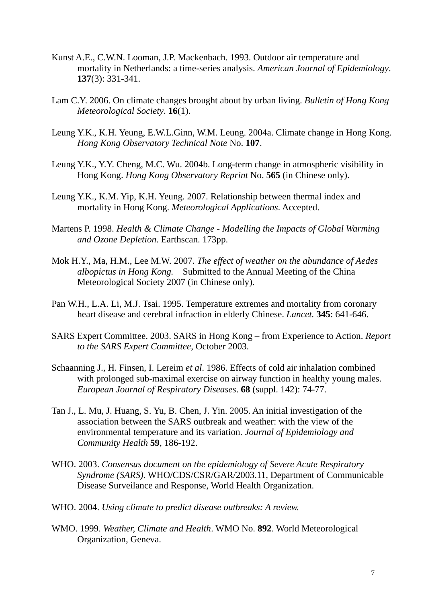- Kunst A.E., C.W.N. Looman, J.P. Mackenbach. 1993. Outdoor air temperature and mortality in Netherlands: a time-series analysis. *American Journal of Epidemiology*. **137**(3): 331-341.
- Lam C.Y. 2006. On climate changes brought about by urban living. *Bulletin of Hong Kong Meteorological Society*. **16**(1).
- Leung Y.K., K.H. Yeung, E.W.L.Ginn, W.M. Leung. 2004a. Climate change in Hong Kong. *Hong Kong Observatory Technical Note* No. **107**.
- Leung Y.K., Y.Y. Cheng, M.C. Wu. 2004b. Long-term change in atmospheric visibility in Hong Kong. *Hong Kong Observatory Reprint* No. **565** (in Chinese only).
- Leung Y.K., K.M. Yip, K.H. Yeung. 2007. Relationship between thermal index and mortality in Hong Kong. *Meteorological Applications*. Accepted.
- Martens P. 1998. *Health & Climate Change Modelling the Impacts of Global Warming and Ozone Depletion*. Earthscan. 173pp.
- Mok H.Y., Ma, H.M., Lee M.W. 2007. *The effect of weather on the abundance of Aedes albopictus in Hong Kong.* Submitted to the Annual Meeting of the China Meteorological Society 2007 (in Chinese only).
- Pan W.H., L.A. Li, M.J. Tsai. 1995. Temperature extremes and mortality from coronary heart disease and cerebral infraction in elderly Chinese. *Lancet.* **345**: 641-646.
- SARS Expert Committee. 2003. SARS in Hong Kong from Experience to Action. *Report to the SARS Expert Committee*, October 2003.
- Schaanning J., H. Finsen, I. Lereim *et al*. 1986. Effects of cold air inhalation combined with prolonged sub-maximal exercise on airway function in healthy young males. *European Journal of Respiratory Diseases*. **68** (suppl. 142): 74-77.
- Tan J., L. Mu, J. Huang, S. Yu, B. Chen, J. Yin. 2005. An initial investigation of the association between the SARS outbreak and weather: with the view of the environmental temperature and its variation. *Journal of Epidemiology and Community Health* **59**, 186-192.
- WHO. 2003. *Consensus document on the epidemiology of Severe Acute Respiratory Syndrome (SARS)*. WHO/CDS/CSR/GAR/2003.11, Department of Communicable Disease Surveilance and Response, World Health Organization.
- WHO. 2004. *Using climate to predict disease outbreaks: A review.*
- WMO. 1999. *Weather, Climate and Health*. WMO No. **892**. World Meteorological Organization, Geneva.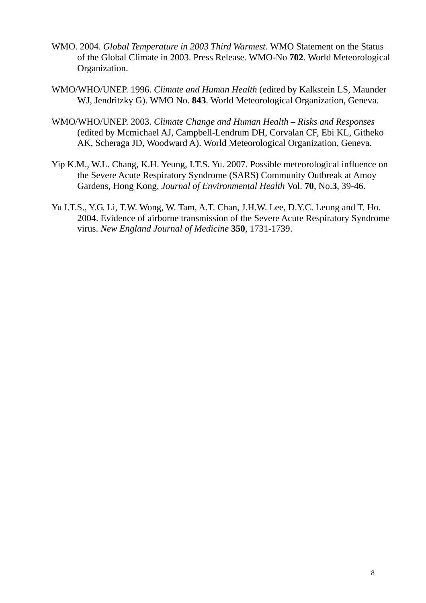- WMO. 2004. *Global Temperature in 2003 Third Warmest.* WMO Statement on the Status of the Global Climate in 2003. Press Release. WMO-No **702**. World Meteorological Organization.
- WMO/WHO/UNEP. 1996. *Climate and Human Health* (edited by Kalkstein LS, Maunder WJ, Jendritzky G). WMO No. **843**. World Meteorological Organization, Geneva.
- WMO/WHO/UNEP. 2003. *Climate Change and Human Health Risks and Responses* (edited by Mcmichael AJ, Campbell-Lendrum DH, Corvalan CF, Ebi KL, Githeko AK, Scheraga JD, Woodward A). World Meteorological Organization, Geneva.
- Yip K.M., W.L. Chang, K.H. Yeung, I.T.S. Yu. 2007. Possible meteorological influence on the Severe Acute Respiratory Syndrome (SARS) Community Outbreak at Amoy Gardens, Hong Kong. *Journal of Environmental Health* Vol. **70**, No.**3**, 39-46.
- Yu I.T.S., Y.G. Li, T.W. Wong, W. Tam, A.T. Chan, J.H.W. Lee, D.Y.C. Leung and T. Ho. 2004. Evidence of airborne transmission of the Severe Acute Respiratory Syndrome virus. *New England Journal of Medicine* **350**, 1731-1739.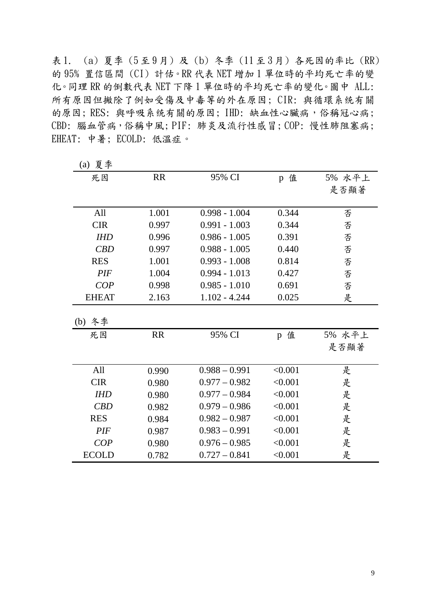表 1. (a) 夏季 (5 至 9 月) 及 (b) 冬季 (11 至 3 月) 各死因的率比 (RR) 的 95% 置信區間 (CI) 計估。RR 代表 NET 增加 1 單位時的平均死亡率的變 化。同理 RR 的倒數代表 NET 下降 1 單位時的平均死亡率的變化。圖中 ALL: 所有原因但撇除了例如受傷及中毒等的外在原因; CIR: 與循環系统有關 的原因; RES: 與呼吸系统有關的原因; IHD: 缺血性心臟病, 俗稱冠心病; CBD: 腦血管病,俗稱中風; PIF: 肺炎及流行性感冒; COP: 慢性肺阻塞病; EHEAT: 中暑; ECOLD: 低溫症。

| 夏季<br>(a)    |           |                 |                      |        |  |
|--------------|-----------|-----------------|----------------------|--------|--|
| 死因           | <b>RR</b> | 95% CI          | p 值                  | 5% 水平上 |  |
|              |           |                 |                      | 是否顯著   |  |
|              |           |                 |                      |        |  |
| All          | 1.001     | $0.998 - 1.004$ | 0.344                | 否      |  |
| <b>CIR</b>   | 0.997     | $0.991 - 1.003$ | 0.344                | 否      |  |
| <b>IHD</b>   | 0.996     | $0.986 - 1.005$ | 0.391                | 否      |  |
| CBD          | 0.997     | $0.988 - 1.005$ | 0.440                | 否      |  |
| <b>RES</b>   | 1.001     | $0.993 - 1.008$ | 0.814                | 否      |  |
| PIF          | 1.004     | $0.994 - 1.013$ | 0.427                | 否      |  |
| COP          | 0.998     | $0.985 - 1.010$ | 0.691                | 否      |  |
| <b>EHEAT</b> | 2.163     | $1.102 - 4.244$ | 0.025                | 是      |  |
|              |           |                 |                      |        |  |
| (b) 冬季       |           |                 |                      |        |  |
| 死因           | <b>RR</b> | 95% CI          | 值<br>$p_{\parallel}$ | 5% 水平上 |  |
|              |           |                 |                      | 是否顯著   |  |
|              |           |                 |                      |        |  |
| All          | 0.990     | $0.988 - 0.991$ | < 0.001              | 是      |  |
| <b>CIR</b>   | 0.980     | $0.977 - 0.982$ | < 0.001              | 是      |  |
| <b>IHD</b>   | 0.980     | $0.977 - 0.984$ | < 0.001              | 是      |  |
| CBD          | 0.982     | $0.979 - 0.986$ | < 0.001              | 是      |  |
| <b>RES</b>   | 0.984     | $0.982 - 0.987$ | < 0.001              | 是      |  |
| PIF          | 0.987     | $0.983 - 0.991$ | < 0.001              | 是      |  |
| COP          | 0.980     | $0.976 - 0.985$ | < 0.001              | 是      |  |
| <b>ECOLD</b> | 0.782     | $0.727 - 0.841$ | < 0.001              | 是      |  |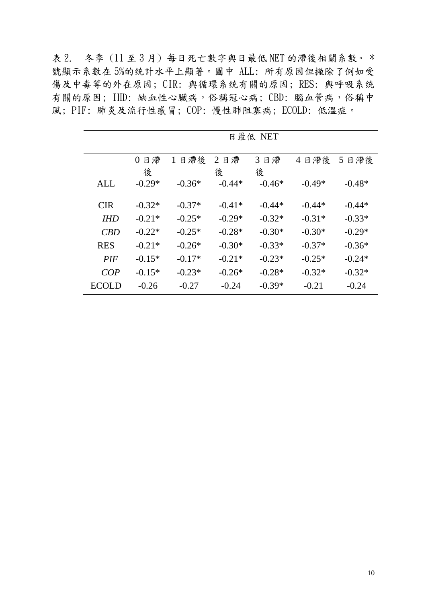表 2. 冬季 (11 至 3 月) 每日死亡數字與日最低 NET 的滯後相關系數。 \* 號顯示系數在 5%的统計水平上顯著。圖中 ALL: 所有原因但撇除了例如受 傷及中毒等的外在原因; CIR: 與循環系统有關的原因; RES: 與呼吸系统 有關的原因; IHD: 缺血性心臟病,俗稱冠心病; CBD: 腦血管病,俗稱中 風; PIF: 肺炎及流行性感冒; COP: 慢性肺阻塞病; ECOLD: 低溫症。

|            | 日最低 NET  |          |          |          |           |          |  |
|------------|----------|----------|----------|----------|-----------|----------|--|
|            | 0日滞      | 1日滯後     | 2日滞      | 3日滞      | 4日滯後 5日滯後 |          |  |
|            | 後        |          | 後        | 後        |           |          |  |
| ALL        | $-0.29*$ | $-0.36*$ | $-0.44*$ | $-0.46*$ | $-0.49*$  | $-0.48*$ |  |
| <b>CIR</b> | $-0.32*$ | $-0.37*$ | $-0.41*$ | $-0.44*$ | $-0.44*$  | $-0.44*$ |  |
| IHD        | $-0.21*$ | $-0.25*$ | $-0.29*$ | $-0.32*$ | $-0.31*$  | $-0.33*$ |  |
| CBD        | $-0.22*$ | $-0.25*$ | $-0.28*$ | $-0.30*$ | $-0.30*$  | $-0.29*$ |  |
| <b>RES</b> | $-0.21*$ | $-0.26*$ | $-0.30*$ | $-0.33*$ | $-0.37*$  | $-0.36*$ |  |
| PIF        | $-0.15*$ | $-0.17*$ | $-0.21*$ | $-0.23*$ | $-0.25*$  | $-0.24*$ |  |
| COP        | $-0.15*$ | $-0.23*$ | $-0.26*$ | $-0.28*$ | $-0.32*$  | $-0.32*$ |  |
| ECOLD      | $-0.26$  | $-0.27$  | $-0.24$  | $-0.39*$ | $-0.21$   | $-0.24$  |  |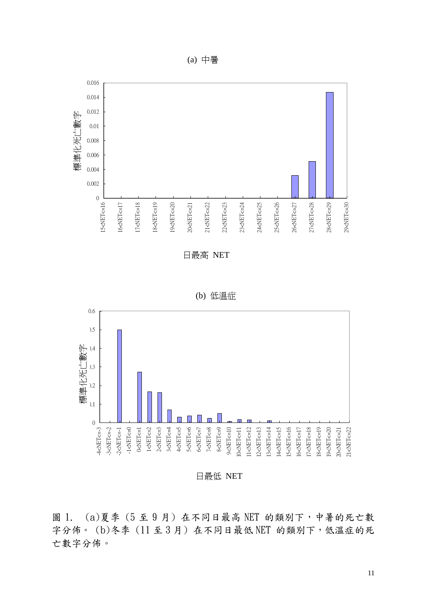Excessive heat (a) 中暑



日最高 NET



(b) 低溫症

日最低 NET

圖 1. (a)夏季 (5 至 9 月) 在不同日最高 NET 的類別下,中暑的死亡數 字分佈。 (b)冬季 (11至3月) 在不同日最低 NET 的類別下,低溫症的死 亡數字分佈。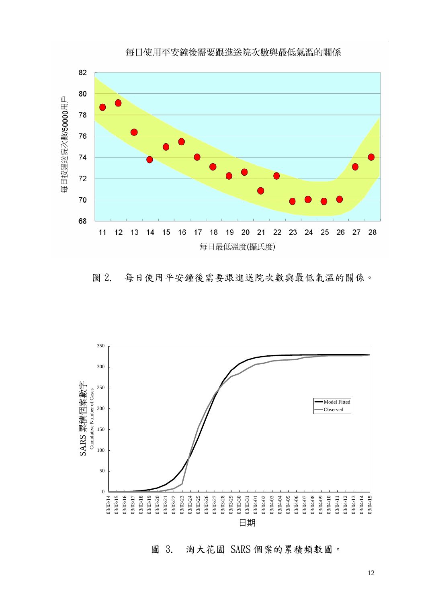

## 圖 2. 每日使用平安鐘後需要跟進送院次數與最低氣溫的關係。



圖 3. 淘大花園 SARS 個案的累積頻數圖。

12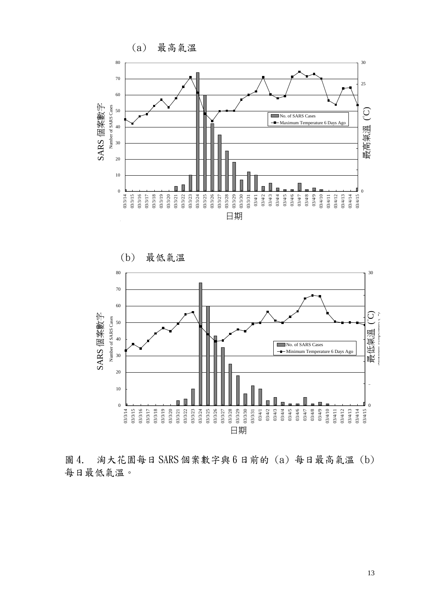



圖 4. 淘大花園每日 SARS 個案數字與 6 日前的 (a) 每日最高氣溫 (b)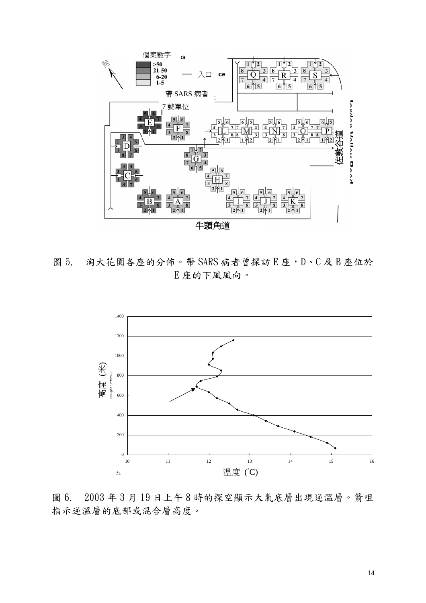

圖 5. 淘大花園各座的分佈。帶 SARS 病者曾探訪 E 座, D、C 及 B 座位於 E 座的下風風向。



圖 6. 2003 年 3 月 19 日上午 8 時的探空顯示大氣底層出現逆溫層。箭咀 指示逆溫層的底部或混合層高度。